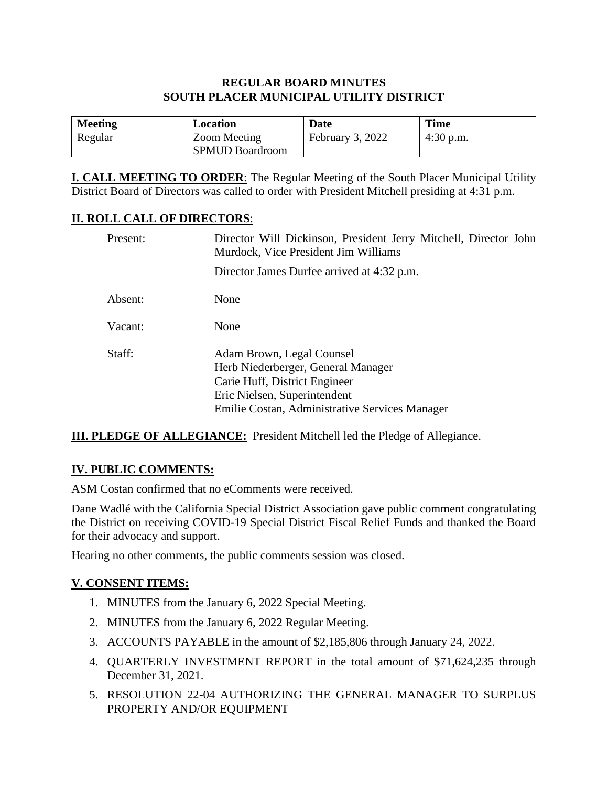### **REGULAR BOARD MINUTES SOUTH PLACER MUNICIPAL UTILITY DISTRICT**

| <b>Meeting</b> | Location               | Date             | <b>Time</b> |
|----------------|------------------------|------------------|-------------|
| Regular        | Zoom Meeting           | February 3, 2022 | $4:30$ p.m. |
|                | <b>SPMUD Boardroom</b> |                  |             |

**I. CALL MEETING TO ORDER**: The Regular Meeting of the South Placer Municipal Utility District Board of Directors was called to order with President Mitchell presiding at 4:31 p.m.

### **II. ROLL CALL OF DIRECTORS**:

| Present: | Director Will Dickinson, President Jerry Mitchell, Director John<br>Murdock, Vice President Jim Williams                                                                           |  |  |
|----------|------------------------------------------------------------------------------------------------------------------------------------------------------------------------------------|--|--|
|          | Director James Durfee arrived at 4:32 p.m.                                                                                                                                         |  |  |
| Absent:  | None                                                                                                                                                                               |  |  |
| Vacant:  | None                                                                                                                                                                               |  |  |
| Staff:   | Adam Brown, Legal Counsel<br>Herb Niederberger, General Manager<br>Carie Huff, District Engineer<br>Eric Nielsen, Superintendent<br>Emilie Costan, Administrative Services Manager |  |  |

**III. PLEDGE OF ALLEGIANCE:** President Mitchell led the Pledge of Allegiance.

# **IV. PUBLIC COMMENTS:**

ASM Costan confirmed that no eComments were received.

Dane Wadlé with the California Special District Association gave public comment congratulating the District on receiving COVID-19 Special District Fiscal Relief Funds and thanked the Board for their advocacy and support.

Hearing no other comments, the public comments session was closed.

# **V. CONSENT ITEMS:**

- 1. MINUTES from the January 6, 2022 Special Meeting.
- 2. MINUTES from the January 6, 2022 Regular Meeting.
- 3. ACCOUNTS PAYABLE in the amount of \$2,185,806 through January 24, 2022.
- 4. QUARTERLY INVESTMENT REPORT in the total amount of \$71,624,235 through December 31, 2021.
- 5. RESOLUTION 22-04 AUTHORIZING THE GENERAL MANAGER TO SURPLUS PROPERTY AND/OR EQUIPMENT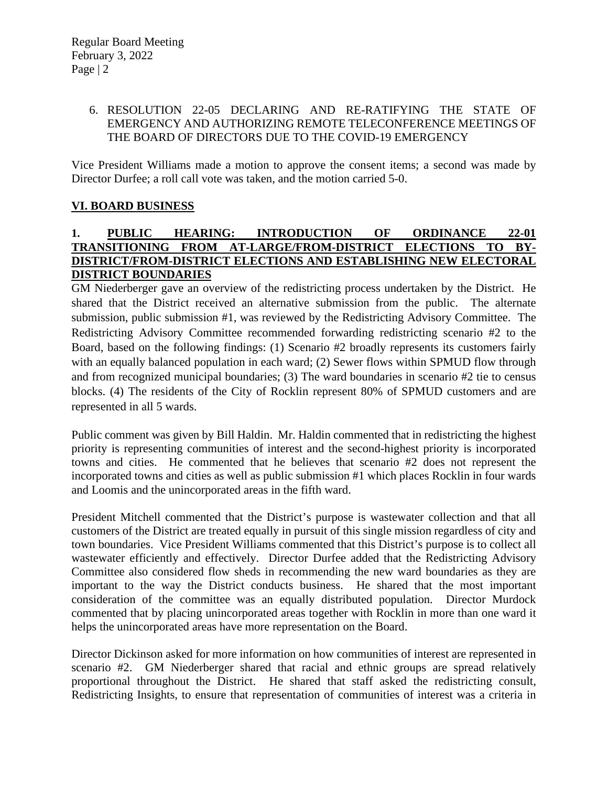#### 6. RESOLUTION 22-05 DECLARING AND RE-RATIFYING THE STATE OF EMERGENCY AND AUTHORIZING REMOTE TELECONFERENCE MEETINGS OF THE BOARD OF DIRECTORS DUE TO THE COVID-19 EMERGENCY

Vice President Williams made a motion to approve the consent items; a second was made by Director Durfee; a roll call vote was taken, and the motion carried 5-0.

### **VI. BOARD BUSINESS**

#### **1. PUBLIC HEARING: INTRODUCTION OF ORDINANCE 22-01 TRANSITIONING FROM AT-LARGE/FROM-DISTRICT ELECTIONS TO BY-DISTRICT/FROM-DISTRICT ELECTIONS AND ESTABLISHING NEW ELECTORAL DISTRICT BOUNDARIES**

GM Niederberger gave an overview of the redistricting process undertaken by the District. He shared that the District received an alternative submission from the public. The alternate submission, public submission #1, was reviewed by the Redistricting Advisory Committee. The Redistricting Advisory Committee recommended forwarding redistricting scenario #2 to the Board, based on the following findings: (1) Scenario #2 broadly represents its customers fairly with an equally balanced population in each ward; (2) Sewer flows within SPMUD flow through and from recognized municipal boundaries; (3) The ward boundaries in scenario #2 tie to census blocks. (4) The residents of the City of Rocklin represent 80% of SPMUD customers and are represented in all 5 wards.

Public comment was given by Bill Haldin. Mr. Haldin commented that in redistricting the highest priority is representing communities of interest and the second-highest priority is incorporated towns and cities. He commented that he believes that scenario #2 does not represent the incorporated towns and cities as well as public submission #1 which places Rocklin in four wards and Loomis and the unincorporated areas in the fifth ward.

President Mitchell commented that the District's purpose is wastewater collection and that all customers of the District are treated equally in pursuit of this single mission regardless of city and town boundaries. Vice President Williams commented that this District's purpose is to collect all wastewater efficiently and effectively. Director Durfee added that the Redistricting Advisory Committee also considered flow sheds in recommending the new ward boundaries as they are important to the way the District conducts business. He shared that the most important consideration of the committee was an equally distributed population. Director Murdock commented that by placing unincorporated areas together with Rocklin in more than one ward it helps the unincorporated areas have more representation on the Board.

Director Dickinson asked for more information on how communities of interest are represented in scenario #2. GM Niederberger shared that racial and ethnic groups are spread relatively proportional throughout the District. He shared that staff asked the redistricting consult, Redistricting Insights, to ensure that representation of communities of interest was a criteria in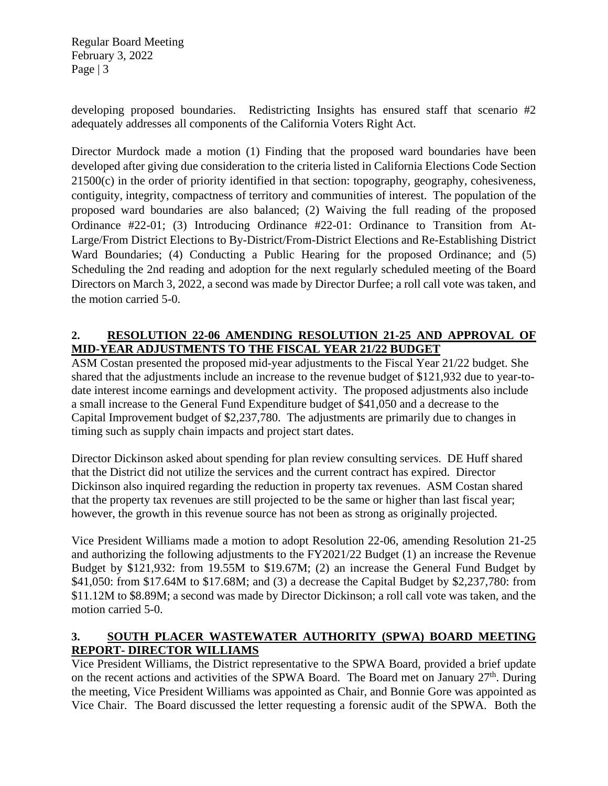Regular Board Meeting February 3, 2022 Page  $|3$ 

developing proposed boundaries. Redistricting Insights has ensured staff that scenario #2 adequately addresses all components of the California Voters Right Act.

Director Murdock made a motion (1) Finding that the proposed ward boundaries have been developed after giving due consideration to the criteria listed in California Elections Code Section 21500(c) in the order of priority identified in that section: topography, geography, cohesiveness, contiguity, integrity, compactness of territory and communities of interest. The population of the proposed ward boundaries are also balanced; (2) Waiving the full reading of the proposed Ordinance #22-01; (3) Introducing Ordinance #22-01: Ordinance to Transition from At-Large/From District Elections to By-District/From-District Elections and Re-Establishing District Ward Boundaries; (4) Conducting a Public Hearing for the proposed Ordinance; and (5) Scheduling the 2nd reading and adoption for the next regularly scheduled meeting of the Board Directors on March 3, 2022, a second was made by Director Durfee; a roll call vote was taken, and the motion carried 5-0.

### **2. RESOLUTION 22-06 AMENDING RESOLUTION 21-25 AND APPROVAL OF MID-YEAR ADJUSTMENTS TO THE FISCAL YEAR 21/22 BUDGET**

ASM Costan presented the proposed mid-year adjustments to the Fiscal Year 21/22 budget. She shared that the adjustments include an increase to the revenue budget of \$121,932 due to year-todate interest income earnings and development activity. The proposed adjustments also include a small increase to the General Fund Expenditure budget of \$41,050 and a decrease to the Capital Improvement budget of \$2,237,780. The adjustments are primarily due to changes in timing such as supply chain impacts and project start dates.

Director Dickinson asked about spending for plan review consulting services. DE Huff shared that the District did not utilize the services and the current contract has expired. Director Dickinson also inquired regarding the reduction in property tax revenues. ASM Costan shared that the property tax revenues are still projected to be the same or higher than last fiscal year; however, the growth in this revenue source has not been as strong as originally projected.

Vice President Williams made a motion to adopt Resolution 22-06, amending Resolution 21-25 and authorizing the following adjustments to the FY2021/22 Budget (1) an increase the Revenue Budget by \$121,932: from 19.55M to \$19.67M; (2) an increase the General Fund Budget by \$41,050: from \$17.64M to \$17.68M; and (3) a decrease the Capital Budget by \$2,237,780: from \$11.12M to \$8.89M; a second was made by Director Dickinson; a roll call vote was taken, and the motion carried 5-0.

### **3. SOUTH PLACER WASTEWATER AUTHORITY (SPWA) BOARD MEETING REPORT- DIRECTOR WILLIAMS**

Vice President Williams, the District representative to the SPWA Board, provided a brief update on the recent actions and activities of the SPWA Board. The Board met on January  $27<sup>th</sup>$ . During the meeting, Vice President Williams was appointed as Chair, and Bonnie Gore was appointed as Vice Chair. The Board discussed the letter requesting a forensic audit of the SPWA. Both the